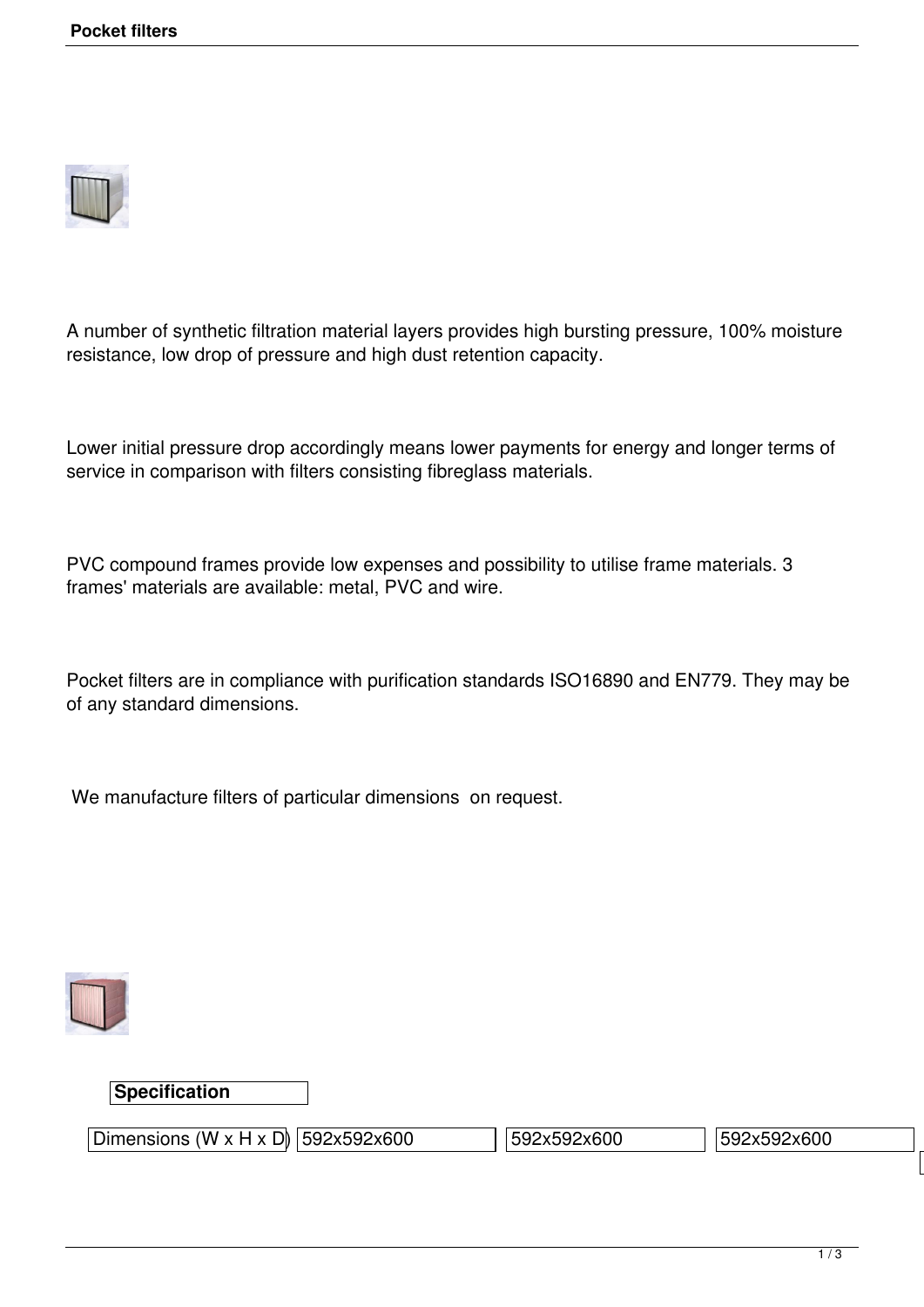

A number of synthetic filtration material layers provides high bursting pressure, 100% moisture resistance, low drop of pressure and high dust retention capacity.

Lower initial pressure drop accordingly means lower payments for energy and longer terms of service in comparison with filters consisting fibreglass materials.

PVC compound frames provide low expenses and possibility to utilise frame materials. 3 frames' materials are available: metal, PVC and wire.

Pocket filters are in compliance with purification standards ISO16890 and EN779. They may be of any standard dimensions.

We manufacture filters of particular dimensions on request.



## **Specification**

Dimensions (W x H x D) 592x592x600 592x592x600 592x592x600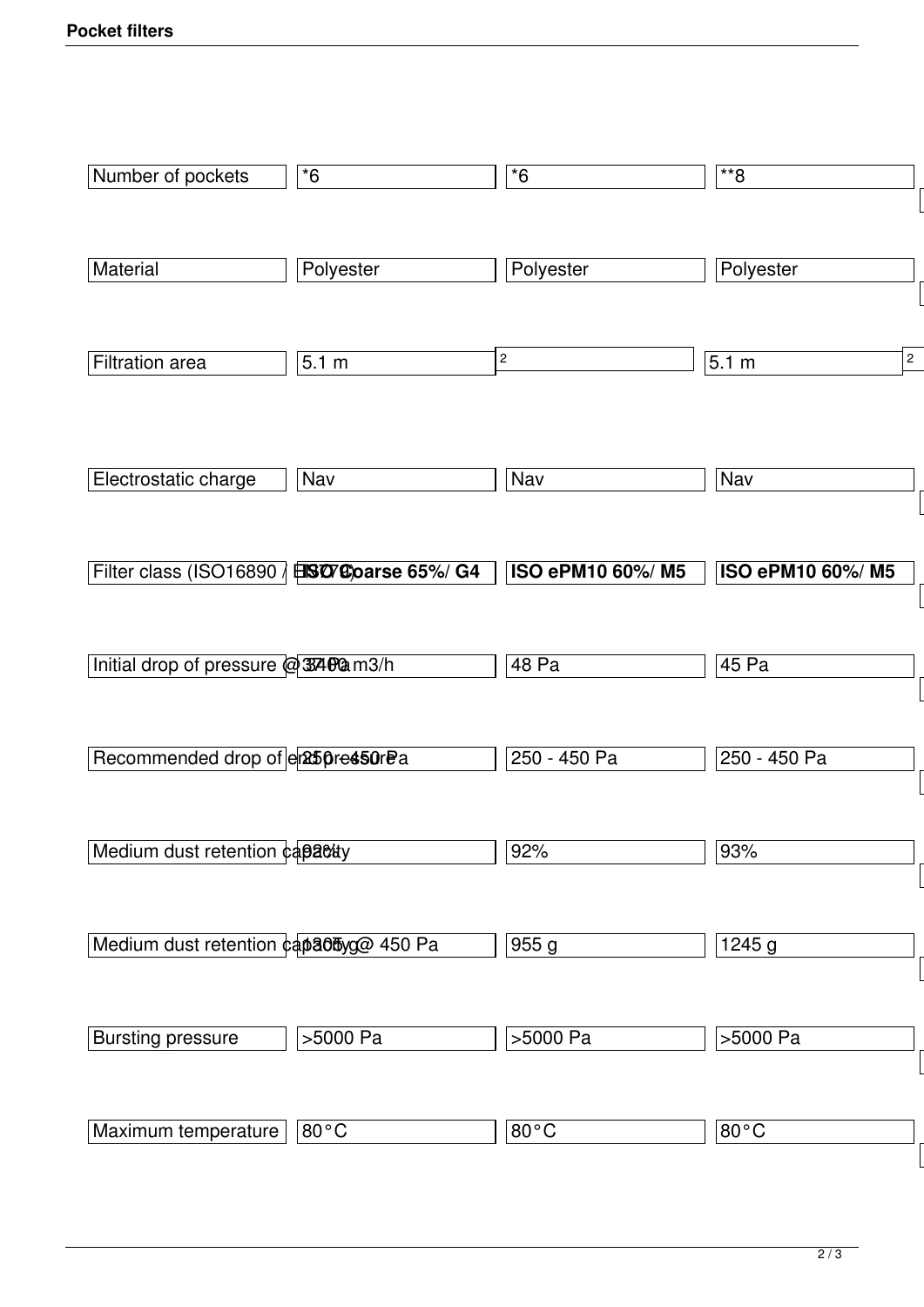| Number of pockets                              | $*6$           | $*6$             | $*$ 8                   |
|------------------------------------------------|----------------|------------------|-------------------------|
|                                                |                |                  |                         |
| Material                                       | Polyester      | Polyester        | Polyester               |
|                                                |                |                  |                         |
| Filtration area                                | 5.1 m          | $\mathbf 2$      | $\overline{2}$<br>5.1 m |
|                                                |                |                  |                         |
|                                                |                |                  |                         |
| Electrostatic charge                           | Nav            | Nav              | Nav                     |
|                                                |                |                  |                         |
| Filter class (ISO16890 / EISO7C) oarse 65%/ G4 |                | ISO ePM10 60%/M5 | ISO ePM10 60%/M5        |
|                                                |                |                  |                         |
| Initial drop of pressure @3340am3/h            |                | 48 Pa            | 45 Pa                   |
|                                                |                | 250 - 450 Pa     | 250 - 450 Pa            |
| Recommended drop of em25pre450rPa              |                |                  |                         |
| Medium dust retention capacuy                  |                | 92%              | 93%                     |
|                                                |                |                  |                         |
| Medium dust retention capa0byg@ 450 Pa         |                | 955g             | 1245g                   |
|                                                |                |                  |                         |
| <b>Bursting pressure</b>                       | >5000 Pa       | >5000 Pa         | >5000 Pa                |
|                                                |                |                  |                         |
| Maximum temperature                            | $80^{\circ}$ C | $80^{\circ}$ C   | $80^{\circ}$ C          |
|                                                |                |                  |                         |

 $\lfloor$